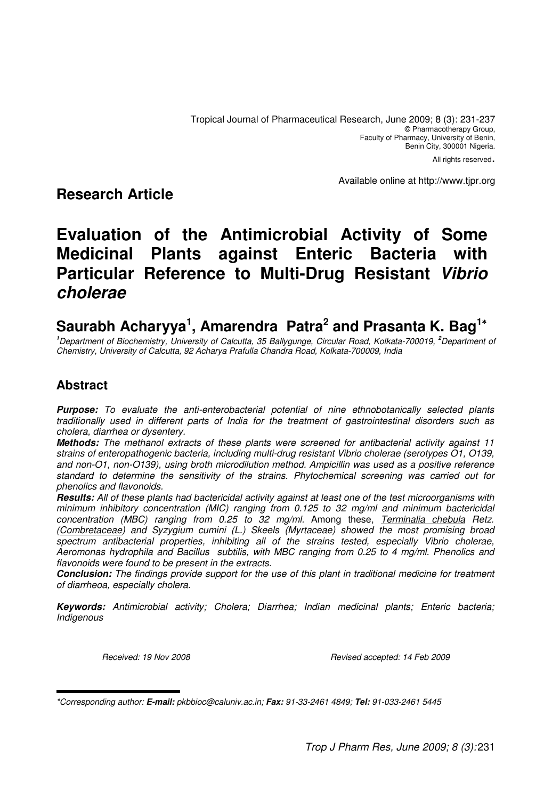All rights reserved.

Available online at http://www.tjpr.org

# **Research Article**

# **Evaluation of the Antimicrobial Activity of Some Medicinal Plants against Enteric Bacteria with Particular Reference to Multi-Drug Resistant Vibrio cholerae**

# **Saurabh Acharyya<sup>1</sup> , Amarendra Patra<sup>2</sup> and Prasanta K. Bag<sup>1</sup>**<sup>∗</sup>

**<sup>1</sup>**Department of Biochemistry, University of Calcutta, 35 Ballygunge, Circular Road, Kolkata-700019, **<sup>2</sup>**Department of Chemistry, University of Calcutta, 92 Acharya Prafulla Chandra Road, Kolkata-700009, India

## **Abstract**

**Purpose:** To evaluate the anti-enterobacterial potential of nine ethnobotanically selected plants traditionally used in different parts of India for the treatment of gastrointestinal disorders such as cholera, diarrhea or dysentery.

**Methods:** The methanol extracts of these plants were screened for antibacterial activity against 11 strains of enteropathogenic bacteria, including multi-drug resistant Vibrio cholerae (serotypes O1, O139, and non-O1, non-O139), using broth microdilution method. Ampicillin was used as a positive reference standard to determine the sensitivity of the strains. Phytochemical screening was carried out for phenolics and flavonoids.

**Results:** All of these plants had bactericidal activity against at least one of the test microorganisms with minimum inhibitory concentration (MIC) ranging from 0.125 to 32 mg/ml and minimum bactericidal concentration (MBC) ranging from 0.25 to 32 mg/ml. Among these, Terminalia chebula Retz. (Combretaceae) and Syzygium cumini (L.) Skeels (Myrtaceae) showed the most promising broad spectrum antibacterial properties, inhibiting all of the strains tested, especially Vibrio cholerae, Aeromonas hydrophila and Bacillus subtilis, with MBC ranging from 0.25 to 4 mg/ml. Phenolics and flavonoids were found to be present in the extracts.

**Conclusion:** The findings provide support for the use of this plant in traditional medicine for treatment of diarrheoa, especially cholera.

**Keywords:** Antimicrobial activity; Cholera; Diarrhea; Indian medicinal plants; Enteric bacteria; Indigenous

Received: 19 Nov 2008 **Received: 19 Nov 2008** Revised accepted: 14 Feb 2009

<sup>\*</sup>Corresponding author: **E-mail:** pkbbioc@caluniv.ac.in; **Fax:** 91-33-2461 4849; **Tel:** 91-033-2461 5445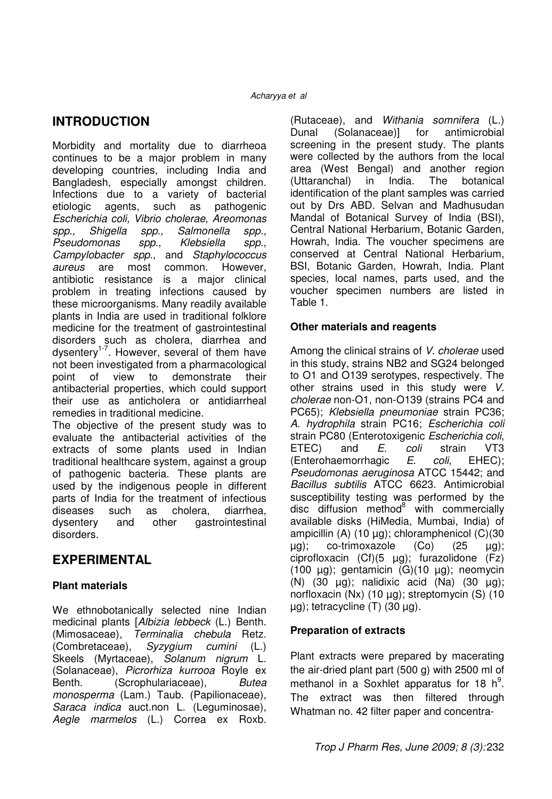## **INTRODUCTION**

Morbidity and mortality due to diarrheoa continues to be a major problem in many developing countries, including India and Bangladesh, especially amongst children. Infections due to a variety of bacterial etiologic agents, such as pathogenic Escherichia coli, Vibrio cholerae, Areomonas spp., Shigella spp., Salmonella spp., Pseudomonas spp., Klebsiella spp., Campylobacter spp., and Staphylococcus aureus are most common. However, antibiotic resistance is a major clinical problem in treating infections caused by these microorganisms. Many readily available plants in India are used in traditional folklore medicine for the treatment of gastrointestinal disorders such as cholera, diarrhea and dysentery<sup>1-7</sup>. However, several of them have not been investigated from a pharmacological point of view to demonstrate their antibacterial properties, which could support their use as anticholera or antidiarrheal remedies in traditional medicine. The objective of the present study was to evaluate the antibacterial activities of the

extracts of some plants used in Indian traditional healthcare system, against a group of pathogenic bacteria. These plants are used by the indigenous people in different parts of India for the treatment of infectious diseases such as cholera, diarrhea, dysentery and other gastrointestinal disorders.

## **EXPERIMENTAL**

#### **Plant materials**

We ethnobotanically selected nine Indian medicinal plants [Albizia lebbeck (L.) Benth. (Mimosaceae), Terminalia chebula Retz. (Combretaceae), Syzygium cumini (L.) Skeels (Myrtaceae), Solanum nigrum L. (Solanaceae), Picrorhiza kurrooa Royle ex Benth. (Scrophulariaceae), Butea monosperma (Lam.) Taub. (Papilionaceae), Saraca indica auct.non L. (Leguminosae), Aegle marmelos (L.) Correa ex Roxb.

(Rutaceae), and Withania somnifera (L.) Dunal (Solanaceae)] for antimicrobial screening in the present study. The plants were collected by the authors from the local area (West Bengal) and another region (Uttaranchal) in India. The botanical identification of the plant samples was carried out by Drs ABD. Selvan and Madhusudan Mandal of Botanical Survey of India (BSI), Central National Herbarium, Botanic Garden, Howrah, India. The voucher specimens are conserved at Central National Herbarium, BSI, Botanic Garden, Howrah, India. Plant species, local names, parts used, and the voucher specimen numbers are listed in Table 1.

#### **Other materials and reagents**

Among the clinical strains of V. cholerae used in this study, strains NB2 and SG24 belonged to O1 and O139 serotypes, respectively. The other strains used in this study were V. cholerae non-O1, non-O139 (strains PC4 and PC65); Klebsiella pneumoniae strain PC36; A. hydrophila strain PC16; Escherichia coli strain PC80 (Enterotoxigenic Escherichia coli, ETEC) and E. coli strain VT3 (Enterohaemorrhagic E. coli, EHEC); Pseudomonas aeruginosa ATCC 15442; and Bacillus subtilis ATCC 6623. Antimicrobial susceptibility testing was performed by the disc diffusion method<sup>8</sup> with commercially available disks (HiMedia, Mumbai, India) of ampicillin (A) (10 µg); chloramphenicol (C)(30 µg); co-trimoxazole (Co) (25 µg); ciprofloxacin  $(Cf)(5 \mu g)$ ; furazolidone  $(Fz)$ (100 µg); gentamicin (G)(10 µg); neomycin (N)  $(30 \text{ µg})$ ; nalidixic acid  $(Na)$   $(30 \text{ µg})$ ; norfloxacin (Nx) (10 µg); streptomycin (S) (10 µg); tetracycline (T) (30 µg).

#### **Preparation of extracts**

Plant extracts were prepared by macerating the air-dried plant part (500 g) with 2500 ml of methanol in a Soxhlet apparatus for 18  $h^9$ . The extract was then filtered through Whatman no. 42 filter paper and concentra-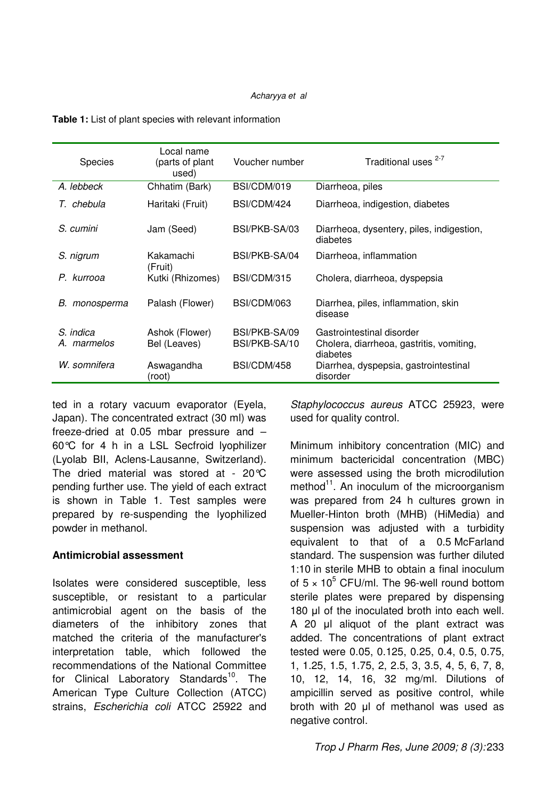| <b>Species</b>           | Local name<br>(parts of plant<br>used) | Voucher number                 | Traditional uses <sup>2-7</sup>                                                   |
|--------------------------|----------------------------------------|--------------------------------|-----------------------------------------------------------------------------------|
| A. lebbeck               | Chhatim (Bark)                         | BSI/CDM/019                    | Diarrheoa, piles                                                                  |
| T. chebula               | Haritaki (Fruit)                       | BSI/CDM/424                    | Diarrheoa, indigestion, diabetes                                                  |
| S. cumini                | Jam (Seed)                             | BSI/PKB-SA/03                  | Diarrheoa, dysentery, piles, indigestion,<br>diabetes                             |
| S. nigrum                | Kakamachi<br>(Fruit)                   | BSI/PKB-SA/04                  | Diarrheoa, inflammation                                                           |
| P. kurrooa               | Kutki (Rhizomes)                       | BSI/CDM/315                    | Cholera, diarrheoa, dyspepsia                                                     |
| monosperma<br>В.         | Palash (Flower)                        | BSI/CDM/063                    | Diarrhea, piles, inflammation, skin<br>disease                                    |
| S. indica<br>A. marmelos | Ashok (Flower)<br>Bel (Leaves)         | BSI/PKB-SA/09<br>BSI/PKB-SA/10 | Gastrointestinal disorder<br>Cholera, diarrheoa, gastritis, vomiting,<br>diabetes |
| W. somnifera             | Aswagandha<br>(root)                   | BSI/CDM/458                    | Diarrhea, dyspepsia, gastrointestinal<br>disorder                                 |

**Table 1:** List of plant species with relevant information

ted in a rotary vacuum evaporator (Eyela, Japan). The concentrated extract (30 ml) was freeze-dried at 0.05 mbar pressure and – 60°C for 4 h in a LSL Secfroid lyophilizer (Lyolab BII, Aclens-Lausanne, Switzerland). The dried material was stored at - 20°C pending further use. The yield of each extract is shown in Table 1. Test samples were prepared by re-suspending the lyophilized powder in methanol.

#### **Antimicrobial assessment**

Isolates were considered susceptible, less susceptible, or resistant to a particular antimicrobial agent on the basis of the diameters of the inhibitory zones that matched the criteria of the manufacturer's interpretation table, which followed the recommendations of the National Committee for Clinical Laboratory Standards<sup>10</sup>. The American Type Culture Collection (ATCC) strains, Escherichia coli ATCC 25922 and

Staphylococcus aureus ATCC 25923, were used for quality control.

Minimum inhibitory concentration (MIC) and minimum bactericidal concentration (MBC) were assessed using the broth microdilution method $11$ . An inoculum of the microorganism was prepared from 24 h cultures grown in Mueller-Hinton broth (MHB) (HiMedia) and suspension was adjusted with a turbidity equivalent to that of a 0.5 McFarland standard. The suspension was further diluted 1:10 in sterile MHB to obtain a final inoculum of  $5 \times 10^5$  CFU/ml. The 96-well round bottom sterile plates were prepared by dispensing 180 µl of the inoculated broth into each well. A 20 µl aliquot of the plant extract was added. The concentrations of plant extract tested were 0.05, 0.125, 0.25, 0.4, 0.5, 0.75, 1, 1.25, 1.5, 1.75, 2, 2.5, 3, 3.5, 4, 5, 6, 7, 8, 10, 12, 14, 16, 32 mg/ml. Dilutions of ampicillin served as positive control, while broth with 20 µl of methanol was used as negative control.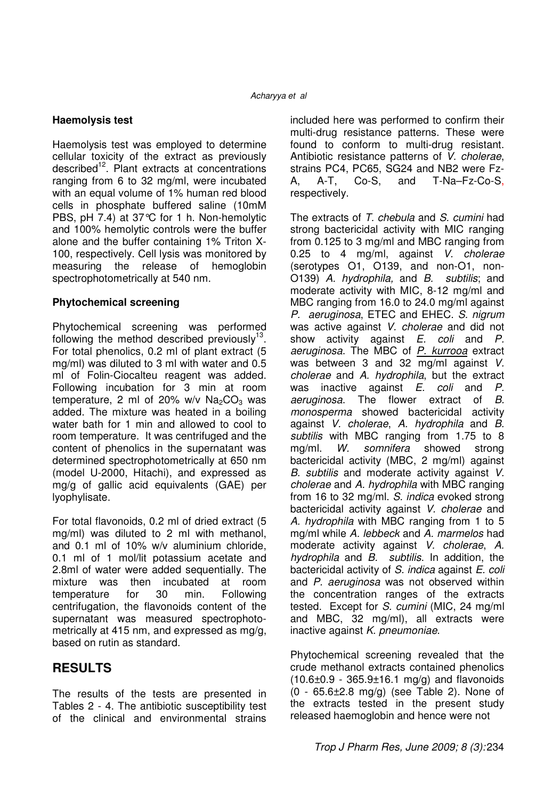#### **Haemolysis test**

Haemolysis test was employed to determine cellular toxicity of the extract as previously described<sup>12</sup>. Plant extracts at concentrations ranging from 6 to 32 mg/ml, were incubated with an equal volume of 1% human red blood cells in phosphate buffered saline (10mM PBS, pH 7.4) at 37°C for 1 h. Non-hemolytic and 100% hemolytic controls were the buffer alone and the buffer containing 1% Triton X-100, respectively. Cell lysis was monitored by measuring the release of hemoglobin spectrophotometrically at 540 nm.

#### **Phytochemical screening**

Phytochemical screening was performed following the method described previously $13$ . For total phenolics, 0.2 ml of plant extract (5 mg/ml) was diluted to 3 ml with water and 0.5 ml of Folin-Ciocalteu reagent was added. Following incubation for 3 min at room temperature, 2 ml of 20% w/v  $Na<sub>2</sub>CO<sub>3</sub>$  was added. The mixture was heated in a boiling water bath for 1 min and allowed to cool to room temperature. It was centrifuged and the content of phenolics in the supernatant was determined spectrophotometrically at 650 nm (model U-2000, Hitachi), and expressed as mg/g of gallic acid equivalents (GAE) per lyophylisate.

For total flavonoids, 0.2 ml of dried extract (5 mg/ml) was diluted to 2 ml with methanol, and 0.1 ml of 10% w/v aluminium chloride, 0.1 ml of 1 mol/lit potassium acetate and 2.8ml of water were added sequentially. The mixture was then incubated at room temperature for 30 min. Following centrifugation, the flavonoids content of the supernatant was measured spectrophotometrically at 415 nm, and expressed as mg/g, based on rutin as standard.

## **RESULTS**

The results of the tests are presented in Tables 2 - 4. The antibiotic susceptibility test of the clinical and environmental strains

included here was performed to confirm their multi-drug resistance patterns. These were found to conform to multi-drug resistant. Antibiotic resistance patterns of V. cholerae, strains PC4, PC65, SG24 and NB2 were Fz-A, A-T, Co-S, and T-Na–Fz-Co-S, respectively.

The extracts of T. chebula and S. cumini had strong bactericidal activity with MIC ranging from 0.125 to 3 mg/ml and MBC ranging from 0.25 to 4 mg/ml, against V. cholerae (serotypes O1, O139, and non-O1, non-O139) A. hydrophila, and B. subtilis; and moderate activity with MIC, 8-12 mg/ml and MBC ranging from 16.0 to 24.0 mg/ml against P. aeruginosa, ETEC and EHEC. S. nigrum was active against V. cholerae and did not show activity against  $E$ . coli and  $P$ . aeruginosa. The MBC of P. kurrooa extract was between 3 and 32 mg/ml against V. cholerae and A. hydrophila, but the extract was inactive against E. coli and P. aeruginosa. The flower extract of B. monosperma showed bactericidal activity against V. cholerae, A. hydrophila and B. subtilis with MBC ranging from 1.75 to 8 mg/ml. W. somnifera showed strong bactericidal activity (MBC, 2 mg/ml) against B. subtilis and moderate activity against V. cholerae and A. hydrophila with MBC ranging from 16 to 32 mg/ml. S. indica evoked strong bactericidal activity against V. cholerae and A. hydrophila with MBC ranging from 1 to 5 mg/ml while A. lebbeck and A. marmelos had moderate activity against V. cholerae, A. hydrophila and B. subtilis. In addition, the bactericidal activity of S. indica against E. coli and P. aeruginosa was not observed within the concentration ranges of the extracts tested. Except for S. cumini (MIC, 24 mg/ml and MBC, 32 mg/ml), all extracts were inactive against K. pneumoniae.

Phytochemical screening revealed that the crude methanol extracts contained phenolics  $(10.6\pm0.9 - 365.9\pm16.1 \text{ mg/g})$  and flavonoids (0 - 65.6±2.8 mg/g) (see Table 2). None of the extracts tested in the present study released haemoglobin and hence were not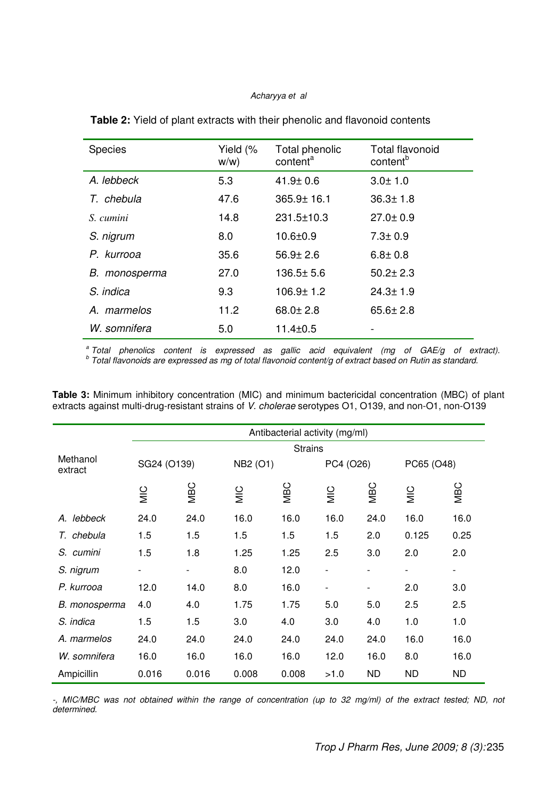#### Acharyya et al

| <b>Species</b> | Yield (%<br>$W/W$ ) | Total phenolic<br>content <sup>a</sup> | <b>Total flavonoid</b><br>content <sup>b</sup> |
|----------------|---------------------|----------------------------------------|------------------------------------------------|
| A. lebbeck     | 5.3                 | $41.9 \pm 0.6$                         | $3.0 \pm 1.0$                                  |
| T. chebula     | 47.6                | $365.9 \pm 16.1$                       | $36.3 \pm 1.8$                                 |
| S. cumini      | 14.8                | $231.5 \pm 10.3$                       | $27.0 \pm 0.9$                                 |
| S. nigrum      | 8.0                 | $10.6 \pm 0.9$                         | $7.3 \pm 0.9$                                  |
| P. kurrooa     | 35.6                | $56.9 \pm 2.6$                         | $6.8 \pm 0.8$                                  |
| B. monosperma  | 27.0                | $136.5 \pm 5.6$                        | $50.2 \pm 2.3$                                 |
| S. indica      | 9.3                 | $106.9 \pm 1.2$                        | $24.3 \pm 1.9$                                 |
| A. marmelos    | 11.2                | $68.0 \pm 2.8$                         | $65.6 \pm 2.8$                                 |
| W. somnifera   | 5.0                 | $11.4 \pm 0.5$                         |                                                |

**Table 2:** Yield of plant extracts with their phenolic and flavonoid contents

<sup>a</sup> Total phenolics content is expressed as gallic acid equivalent (mg of GAE/g of extract).<br><sup>b</sup> Total flavonoids are expressed as mg of total flavonoid content/g of extract based on Rutin as standard.

**Table 3:** Minimum inhibitory concentration (MIC) and minimum bactericidal concentration (MBC) of plant extracts against multi-drug-resistant strains of V. cholerae serotypes O1, O139, and non-O1, non-O139

|                     | Antibacterial activity (mg/ml) |                         |               |       |                |            |                          |            |
|---------------------|--------------------------------|-------------------------|---------------|-------|----------------|------------|--------------------------|------------|
|                     | <b>Strains</b>                 |                         |               |       |                |            |                          |            |
| Methanol<br>extract |                                | SG24 (O139)<br>NB2 (O1) |               |       | PC4 (O26)      |            | PC65 (O48)               |            |
|                     | MIC                            | <b>MBC</b>              | $\frac{C}{2}$ | NBC   | $\overline{M}$ | <b>MBC</b> | $rac{C}{M}$              | <b>MBC</b> |
| A. lebbeck          | 24.0                           | 24.0                    | 16.0          | 16.0  | 16.0           | 24.0       | 16.0                     | 16.0       |
| chebula<br>Τ.       | 1.5                            | 1.5                     | 1.5           | 1.5   | 1.5            | 2.0        | 0.125                    | 0.25       |
| S. cumini           | 1.5                            | 1.8                     | 1.25          | 1.25  | 2.5            | 3.0        | 2.0                      | 2.0        |
| S. nigrum           |                                |                         | 8.0           | 12.0  |                |            | $\overline{\phantom{a}}$ |            |
| P. kurrooa          | 12.0                           | 14.0                    | 8.0           | 16.0  |                | -          | 2.0                      | 3.0        |
| B. monosperma       | 4.0                            | 4.0                     | 1.75          | 1.75  | 5.0            | 5.0        | 2.5                      | 2.5        |
| S. indica           | 1.5                            | 1.5                     | 3.0           | 4.0   | 3.0            | 4.0        | 1.0                      | 1.0        |
| A. marmelos         | 24.0                           | 24.0                    | 24.0          | 24.0  | 24.0           | 24.0       | 16.0                     | 16.0       |
| W. somnifera        | 16.0                           | 16.0                    | 16.0          | 16.0  | 12.0           | 16.0       | 8.0                      | 16.0       |
| Ampicillin          | 0.016                          | 0.016                   | 0.008         | 0.008 | >1.0           | <b>ND</b>  | <b>ND</b>                | <b>ND</b>  |

-, MIC/MBC was not obtained within the range of concentration (up to 32 mg/ml) of the extract tested; ND, not determined.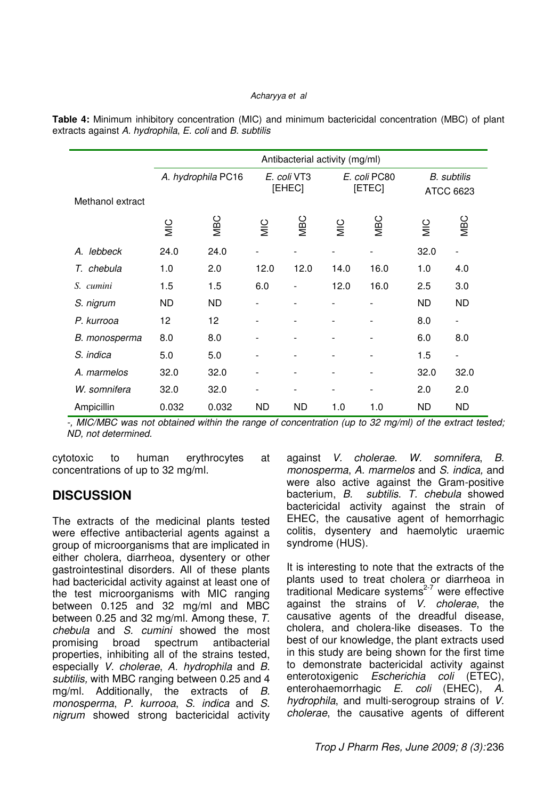#### Acharyya et al

|                  | Antibacterial activity (mg/ml) |                    |                          |           |                        |                          |                                 |                          |
|------------------|--------------------------------|--------------------|--------------------------|-----------|------------------------|--------------------------|---------------------------------|--------------------------|
| Methanol extract |                                | A. hydrophila PC16 | E. coli VT3<br>[EHEC]    |           | E. coli PC80<br>[ETEC] |                          | <b>B.</b> subtilis<br>ATCC 6623 |                          |
|                  | MIC                            | <b>MBC</b>         | $rac{C}{\Sigma}$         | NBC       | MIC                    | NBC                      | $\frac{1}{2}$                   | <b>MBC</b>               |
| lebbeck<br>А.    | 24.0                           | 24.0               |                          |           |                        |                          | 32.0                            | $\overline{\phantom{a}}$ |
| T. chebula       | 1.0                            | 2.0                | 12.0                     | 12.0      | 14.0                   | 16.0                     | 1.0                             | 4.0                      |
| S. cumini        | 1.5                            | 1.5                | 6.0                      |           | 12.0                   | 16.0                     | 2.5                             | 3.0                      |
| S. nigrum        | <b>ND</b>                      | <b>ND</b>          |                          |           |                        |                          | <b>ND</b>                       | <b>ND</b>                |
| P. kurrooa       | 12                             | 12                 | $\overline{\phantom{0}}$ |           |                        |                          | 8.0                             | $\overline{\phantom{a}}$ |
| B. monosperma    | 8.0                            | 8.0                | $\overline{\phantom{0}}$ |           |                        | $\overline{\phantom{a}}$ | 6.0                             | 8.0                      |
| S. indica        | 5.0                            | 5.0                | $\overline{\phantom{a}}$ |           |                        | $\overline{\phantom{a}}$ | 1.5                             | $\overline{\phantom{a}}$ |
| A. marmelos      | 32.0                           | 32.0               | -                        |           |                        | -                        | 32.0                            | 32.0                     |
| W. somnifera     | 32.0                           | 32.0               | $\overline{\phantom{0}}$ |           |                        | $\overline{\phantom{a}}$ | 2.0                             | 2.0                      |
| Ampicillin       | 0.032                          | 0.032              | <b>ND</b>                | <b>ND</b> | 1.0                    | 1.0                      | <b>ND</b>                       | <b>ND</b>                |

**Table 4:** Minimum inhibitory concentration (MIC) and minimum bactericidal concentration (MBC) of plant extracts against A. hydrophila, E. coli and B. subtilis

-, MIC/MBC was not obtained within the range of concentration (up to 32 mg/ml) of the extract tested; ND, not determined.

cytotoxic to human erythrocytes at concentrations of up to 32 mg/ml.

## **DISCUSSION**

The extracts of the medicinal plants tested were effective antibacterial agents against a group of microorganisms that are implicated in either cholera, diarrheoa, dysentery or other gastrointestinal disorders. All of these plants had bactericidal activity against at least one of the test microorganisms with MIC ranging between 0.125 and 32 mg/ml and MBC between 0.25 and 32 mg/ml. Among these, T. chebula and S. cumini showed the most promising broad spectrum antibacterial properties, inhibiting all of the strains tested, especially V. cholerae, A. hydrophila and B. subtilis, with MBC ranging between 0.25 and 4 mg/ml. Additionally, the extracts of B. monosperma, P. kurrooa, S. indica and S. nigrum showed strong bactericidal activity against V. cholerae. W. somnifera, B. monosperma, A. marmelos and S. indica, and were also active against the Gram-positive bacterium, B. subtilis. T. chebula showed bactericidal activity against the strain of EHEC, the causative agent of hemorrhagic colitis, dysentery and haemolytic uraemic syndrome (HUS).

It is interesting to note that the extracts of the plants used to treat cholera or diarrheoa in .<br>traditional Medicare systems<sup>2-7</sup> were effective against the strains of V. cholerae, the causative agents of the dreadful disease, cholera, and cholera-like diseases. To the best of our knowledge, the plant extracts used in this study are being shown for the first time to demonstrate bactericidal activity against enterotoxigenic Escherichia coli (ETEC), enterohaemorrhagic E. coli (EHEC), A. hydrophila, and multi-serogroup strains of V. cholerae, the causative agents of different